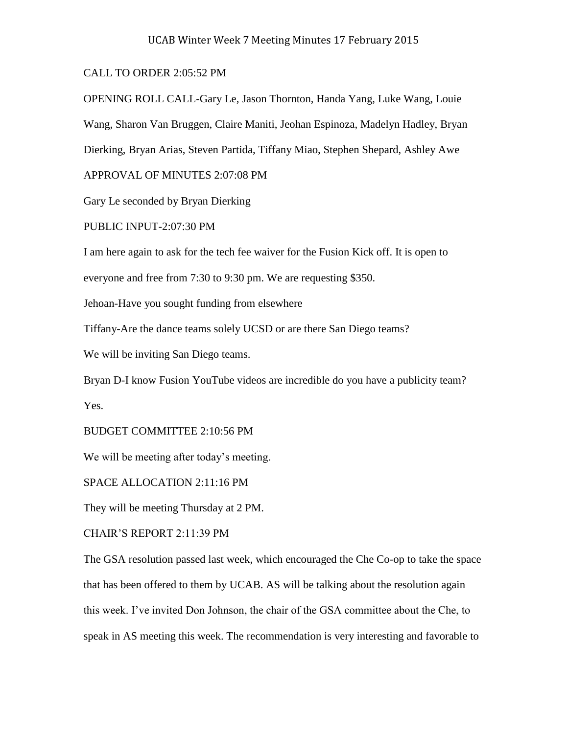## CALL TO ORDER 2:05:52 PM

OPENING ROLL CALL-Gary Le, Jason Thornton, Handa Yang, Luke Wang, Louie Wang, Sharon Van Bruggen, Claire Maniti, Jeohan Espinoza, Madelyn Hadley, Bryan Dierking, Bryan Arias, Steven Partida, Tiffany Miao, Stephen Shepard, Ashley Awe

APPROVAL OF MINUTES 2:07:08 PM

Gary Le seconded by Bryan Dierking

PUBLIC INPUT-2:07:30 PM

I am here again to ask for the tech fee waiver for the Fusion Kick off. It is open to

everyone and free from 7:30 to 9:30 pm. We are requesting \$350.

Jehoan-Have you sought funding from elsewhere

Tiffany-Are the dance teams solely UCSD or are there San Diego teams?

We will be inviting San Diego teams.

Bryan D-I know Fusion YouTube videos are incredible do you have a publicity team? Yes.

BUDGET COMMITTEE 2:10:56 PM

We will be meeting after today's meeting.

SPACE ALLOCATION 2:11:16 PM

They will be meeting Thursday at 2 PM.

CHAIR'S REPORT 2:11:39 PM

The GSA resolution passed last week, which encouraged the Che Co-op to take the space that has been offered to them by UCAB. AS will be talking about the resolution again this week. I've invited Don Johnson, the chair of the GSA committee about the Che, to speak in AS meeting this week. The recommendation is very interesting and favorable to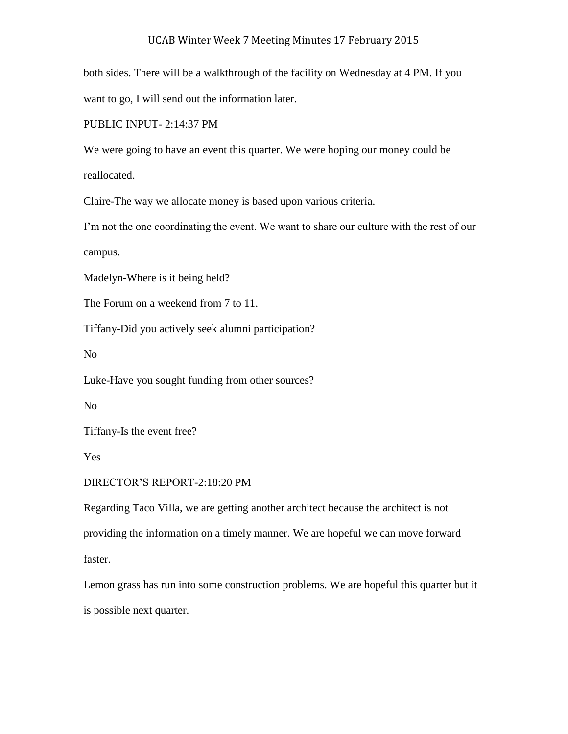both sides. There will be a walkthrough of the facility on Wednesday at 4 PM. If you want to go, I will send out the information later.

PUBLIC INPUT- 2:14:37 PM

We were going to have an event this quarter. We were hoping our money could be reallocated.

Claire-The way we allocate money is based upon various criteria.

I'm not the one coordinating the event. We want to share our culture with the rest of our campus.

Madelyn-Where is it being held?

The Forum on a weekend from 7 to 11.

Tiffany-Did you actively seek alumni participation?

No

Luke-Have you sought funding from other sources?

No

Tiffany-Is the event free?

Yes

DIRECTOR'S REPORT-2:18:20 PM

Regarding Taco Villa, we are getting another architect because the architect is not providing the information on a timely manner. We are hopeful we can move forward faster.

Lemon grass has run into some construction problems. We are hopeful this quarter but it is possible next quarter.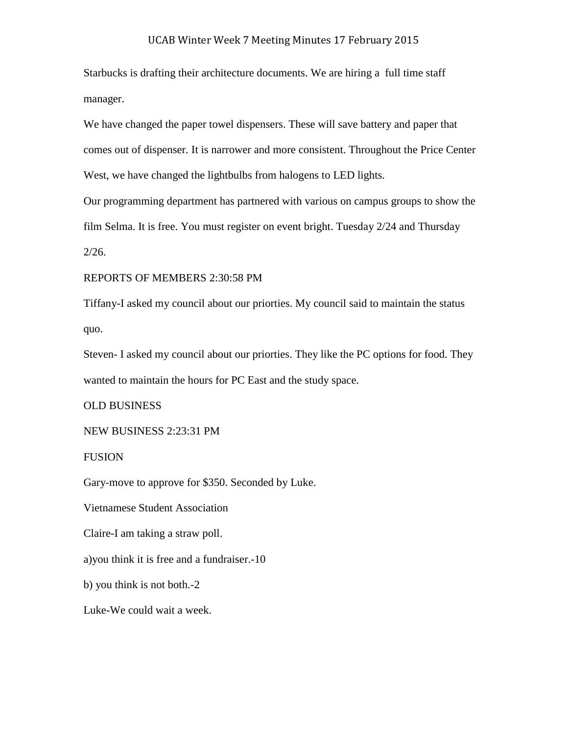Starbucks is drafting their architecture documents. We are hiring a full time staff manager.

We have changed the paper towel dispensers. These will save battery and paper that comes out of dispenser. It is narrower and more consistent. Throughout the Price Center West, we have changed the lightbulbs from halogens to LED lights.

Our programming department has partnered with various on campus groups to show the film Selma. It is free. You must register on event bright. Tuesday 2/24 and Thursday  $2/26$ .

REPORTS OF MEMBERS 2:30:58 PM

Tiffany-I asked my council about our priorties. My council said to maintain the status quo.

Steven- I asked my council about our priorties. They like the PC options for food. They wanted to maintain the hours for PC East and the study space.

OLD BUSINESS

NEW BUSINESS 2:23:31 PM

FUSION

Gary-move to approve for \$350. Seconded by Luke.

Vietnamese Student Association

Claire-I am taking a straw poll.

a)you think it is free and a fundraiser.-10

b) you think is not both.-2

Luke-We could wait a week.